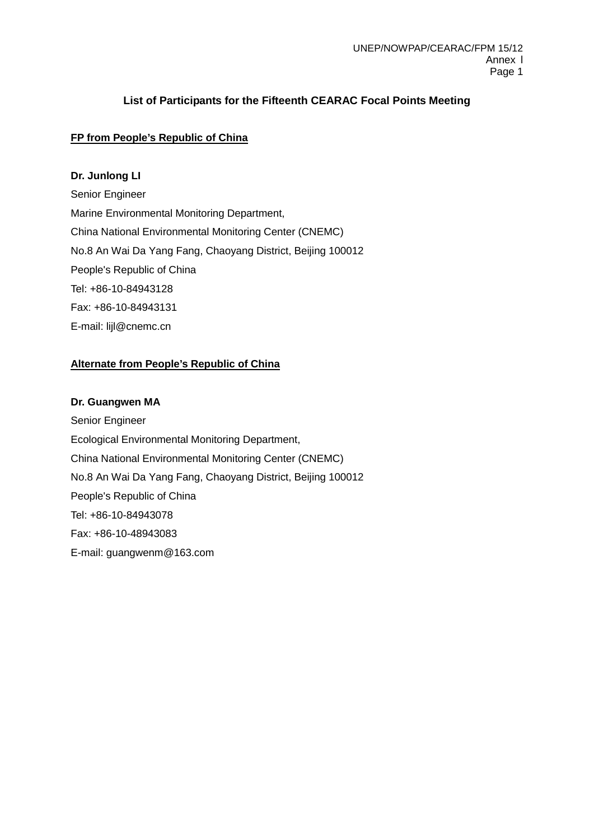# **List of Participants for the Fifteenth CEARAC Focal Points Meeting**

# **FP from People's Republic of China**

### **Dr. Junlong LI**

Senior Engineer Marine Environmental Monitoring Department, China National Environmental Monitoring Center (CNEMC) No.8 An Wai Da Yang Fang, Chaoyang District, Beijing 100012 People's Republic of China Tel: +86-10-84943128 Fax: +86-10-84943131 E-mail: lijl@cnemc.cn

# **Alternate from People's Republic of China**

### **Dr. Guangwen MA**

Senior Engineer Ecological Environmental Monitoring Department, China National Environmental Monitoring Center (CNEMC) No.8 An Wai Da Yang Fang, Chaoyang District, Beijing 100012 People's Republic of China Tel: +86-10-84943078 Fax: +86-10-48943083 E-mail: guangwenm@163.com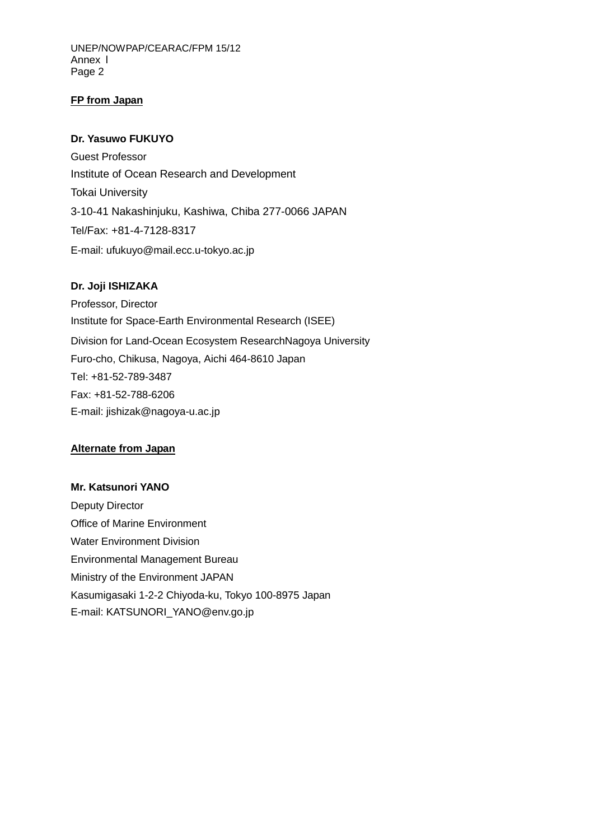UNEP/NOWPAP/CEARAC/FPM 15/12 Annex l Page 2

### **FP from Japan**

### **Dr. Yasuwo FUKUYO**

Guest Professor Institute of Ocean Research and Development Tokai University 3-10-41 Nakashinjuku, Kashiwa, Chiba 277-0066 JAPAN Tel/Fax: +81-4-7128-8317 E-mail: ufukuyo@mail.ecc.u-tokyo.ac.jp

### **Dr. Joji ISHIZAKA**

Professor, Director Institute for Space-Earth Environmental Research (ISEE) Division for Land-Ocean Ecosystem ResearchNagoya University Furo-cho, Chikusa, Nagoya, Aichi 464-8610 Japan Tel: +81-52-789-3487 Fax: +81-52-788-6206 E-mail: jishizak@nagoya-u.ac.jp

### **Alternate from Japan**

**Mr. Katsunori YANO** Deputy Director Office of Marine Environment Water Environment Division Environmental Management Bureau Ministry of the Environment JAPAN Kasumigasaki 1-2-2 Chiyoda-ku, Tokyo 100-8975 Japan E-mail: KATSUNORI\_YANO@env.go.jp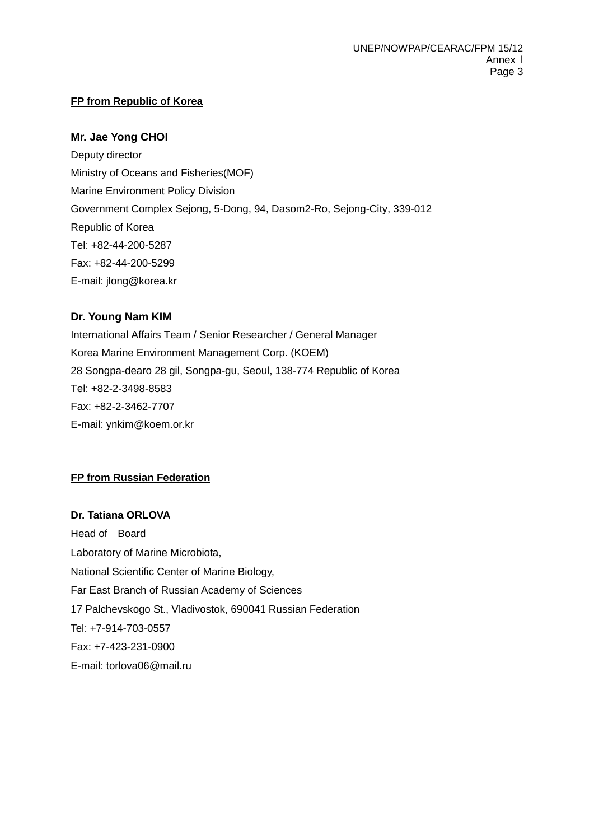# **FP from Republic of Korea**

## **Mr. Jae Yong CHOI**

Deputy director Ministry of Oceans and Fisheries(MOF) Marine Environment Policy Division Government Complex Sejong, 5-Dong, 94, Dasom2-Ro, Sejong-City, 339-012 Republic of Korea Tel: +82-44-200-5287 Fax: +82-44-200-5299 E-mail: jlong@korea.kr

# **Dr. Young Nam KIM**

International Affairs Team / Senior Researcher / General Manager Korea Marine Environment Management Corp. (KOEM) 28 Songpa-dearo 28 gil, Songpa-gu, Seoul, 138-774 Republic of Korea Tel: +82-2-3498-8583 Fax: +82-2-3462-7707 E-mail: ynkim@koem.or.kr

# **FP from Russian Federation**

**Dr. Tatiana ORLOVA** Head of Board Laboratory of Marine Microbiota, National Scientific Center of Marine Biology, Far East Branch of Russian Academy of Sciences 17 Palchevskogo St., Vladivostok, 690041 Russian Federation Tel: +7-914-703-0557 Fax: +7-423-231-0900 E-mail: torlova06@mail.ru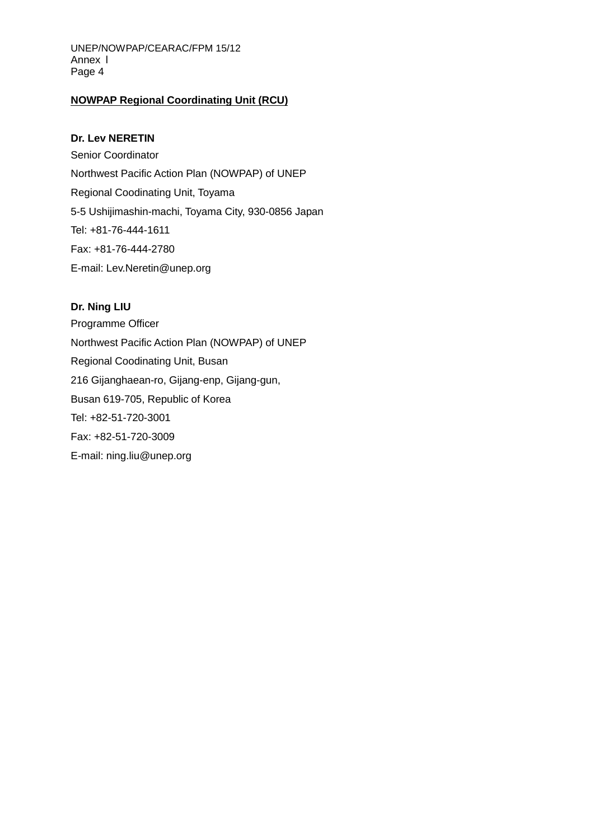UNEP/NOWPAP/CEARAC/FPM 15/12 Annex l Page 4

#### **NOWPAP Regional Coordinating Unit (RCU)**

#### **Dr. Lev NERETIN**

Senior Coordinator Northwest Pacific Action Plan (NOWPAP) of UNEP Regional Coodinating Unit, Toyama 5-5 Ushijimashin-machi, Toyama City, 930-0856 Japan Tel: +81-76-444-1611 Fax: +81-76-444-2780 E-mail: Lev.Neretin@unep.org

#### **Dr. Ning LIU**

Programme Officer Northwest Pacific Action Plan (NOWPAP) of UNEP Regional Coodinating Unit, Busan 216 Gijanghaean-ro, Gijang-enp, Gijang-gun, Busan 619-705, Republic of Korea Tel: +82-51-720-3001 Fax: +82-51-720-3009 E-mail: ning.liu@unep.org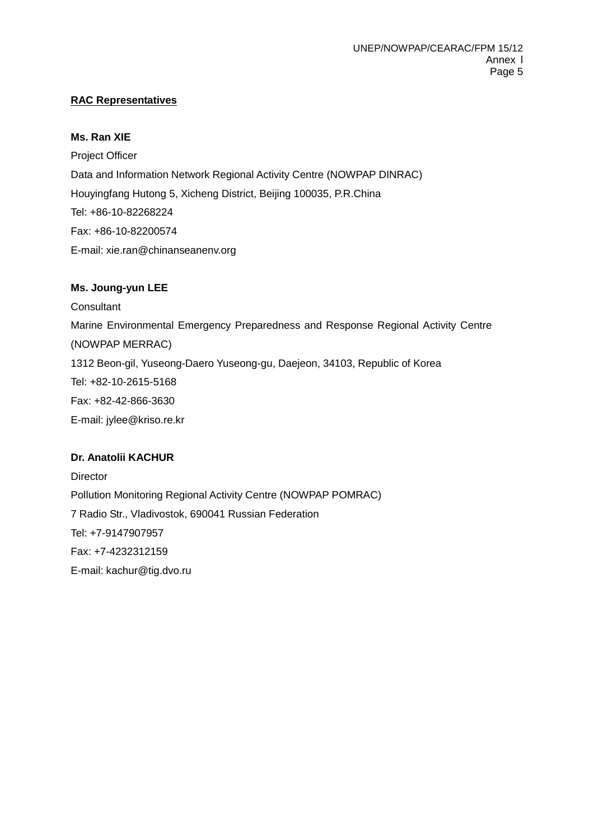# **RAC Representatives**

### **Ms. Ran XIE**

Project Officer Data and Information Network Regional Activity Centre (NOWPAP DINRAC) Houyingfang Hutong 5, Xicheng District, Beijing 100035, P.R.China Tel: +86-10-82268224 Fax: +86-10-82200574 E-mail: xie.ran@chinanseanenv.org

### **Ms. Joung-yun LEE**

**Consultant** Marine Environmental Emergency Preparedness and Response Regional Activity Centre (NOWPAP MERRAC) 1312 Beon-gil, Yuseong-Daero Yuseong-gu, Daejeon, 34103, Republic of Korea Tel: +82-10-2615-5168 Fax: +82-42-866-3630 E-mail: jylee@kriso.re.kr

## **Dr. Anatolii KACHUR**

**Director** Pollution Monitoring Regional Activity Centre (NOWPAP POMRAC) 7 Radio Str., Vladivostok, 690041 Russian Federation Tel: +7-9147907957 Fax: +7-4232312159 E-mail: [kachur@tig.dvo.ru](mailto:kachur@tig.dvo.ru)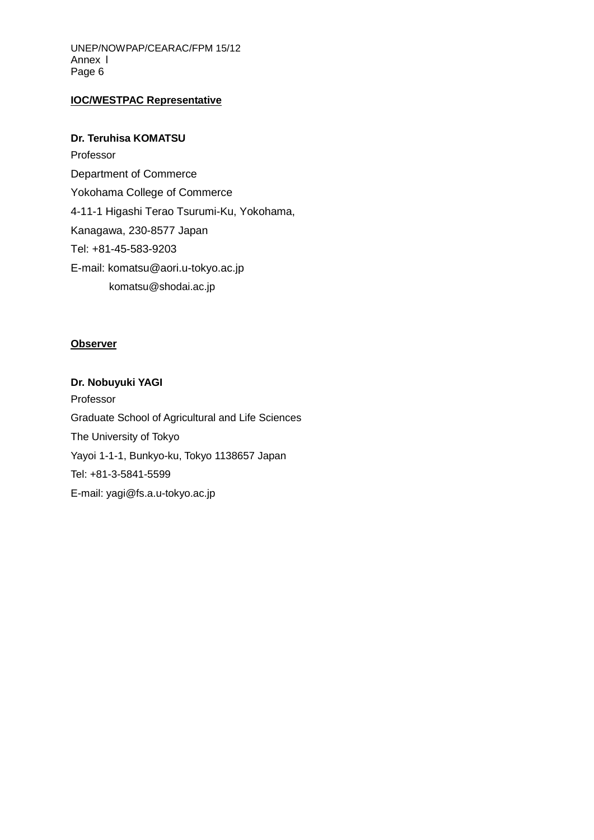UNEP/NOWPAP/CEARAC/FPM 15/12 Annex l Page 6

# **IOC/WESTPAC Representative**

### **Dr. Teruhisa KOMATSU**

Professor Department of Commerce Yokohama College of Commerce 4-11-1 Higashi Terao Tsurumi-Ku, Yokohama, Kanagawa, 230-8577 Japan Tel: +81-45-583-9203 E-mail: komatsu@aori.u-tokyo.ac.jp komatsu@shodai.ac.jp

#### **Observer**

**Dr. Nobuyuki YAGI** Professor Graduate School of Agricultural and Life Sciences The University of Tokyo Yayoi 1-1-1, Bunkyo-ku, Tokyo 1138657 Japan Tel: +81-3-5841-5599 E-mail: yagi@fs.a.u-tokyo.ac.jp